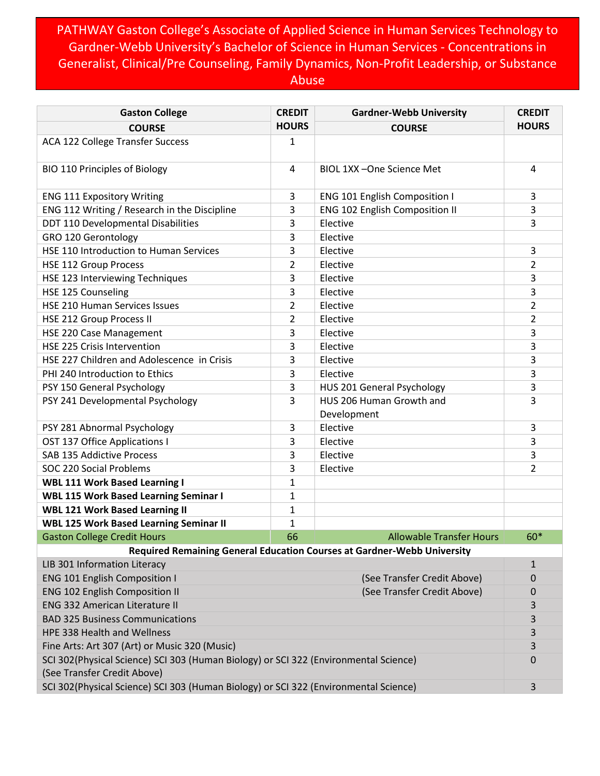## PATHWAY Gaston College's Associate of Applied Science in Human Services Technology to Gardner-Webb University's Bachelor of Science in Human Services - Concentrations in Generalist, Clinical/Pre Counseling, Family Dynamics, Non-Profit Leadership, or Substance Abuse

| <b>Gaston College</b>                                                                                               | <b>CREDIT</b>               | <b>Gardner-Webb University</b>          | <b>CREDIT</b>  |  |
|---------------------------------------------------------------------------------------------------------------------|-----------------------------|-----------------------------------------|----------------|--|
| <b>COURSE</b>                                                                                                       | <b>HOURS</b>                | <b>COURSE</b>                           | <b>HOURS</b>   |  |
| <b>ACA 122 College Transfer Success</b>                                                                             | $\mathbf{1}$                |                                         |                |  |
| <b>BIO 110 Principles of Biology</b>                                                                                | 4                           | BIOL 1XX-One Science Met                | 4              |  |
| <b>ENG 111 Expository Writing</b>                                                                                   | 3                           | <b>ENG 101 English Composition I</b>    | 3              |  |
| ENG 112 Writing / Research in the Discipline                                                                        | 3                           | <b>ENG 102 English Composition II</b>   | 3              |  |
| DDT 110 Developmental Disabilities                                                                                  | 3                           | Elective                                | 3              |  |
| GRO 120 Gerontology                                                                                                 | 3                           | Elective                                |                |  |
| HSE 110 Introduction to Human Services                                                                              | 3                           | Elective                                | 3              |  |
| <b>HSE 112 Group Process</b>                                                                                        | $\overline{2}$              | Elective                                | $\overline{2}$ |  |
| HSE 123 Interviewing Techniques                                                                                     | 3                           | Elective                                | 3              |  |
| HSE 125 Counseling                                                                                                  | 3                           | Elective                                | 3              |  |
| HSE 210 Human Services Issues                                                                                       | $\overline{2}$              | Elective                                | $\overline{2}$ |  |
| HSE 212 Group Process II                                                                                            | $\overline{2}$              | Elective                                | $\overline{2}$ |  |
| HSE 220 Case Management                                                                                             | 3                           | Elective                                | 3              |  |
| HSE 225 Crisis Intervention                                                                                         | 3                           | Elective                                | 3              |  |
| HSE 227 Children and Adolescence in Crisis                                                                          | 3                           | Elective                                | 3              |  |
| PHI 240 Introduction to Ethics                                                                                      | 3                           | Elective                                | 3              |  |
| PSY 150 General Psychology                                                                                          | 3                           | HUS 201 General Psychology              | 3              |  |
| PSY 241 Developmental Psychology                                                                                    | 3                           | HUS 206 Human Growth and<br>Development | 3              |  |
| PSY 281 Abnormal Psychology                                                                                         | 3                           | Elective                                | 3              |  |
| OST 137 Office Applications I                                                                                       | 3                           | Elective                                | 3              |  |
| SAB 135 Addictive Process                                                                                           | 3                           | Elective                                | 3              |  |
| SOC 220 Social Problems                                                                                             | 3                           | Elective                                | $\overline{2}$ |  |
| <b>WBL 111 Work Based Learning I</b>                                                                                | $\mathbf{1}$                |                                         |                |  |
| <b>WBL 115 Work Based Learning Seminar I</b>                                                                        | $\mathbf{1}$                |                                         |                |  |
| <b>WBL 121 Work Based Learning II</b>                                                                               | $\mathbf{1}$                |                                         |                |  |
| <b>WBL 125 Work Based Learning Seminar II</b>                                                                       | $\mathbf{1}$                |                                         |                |  |
| <b>Gaston College Credit Hours</b>                                                                                  | 66                          | <b>Allowable Transfer Hours</b>         | 60*            |  |
| Required Remaining General Education Courses at Gardner-Webb University                                             |                             |                                         |                |  |
| LIB 301 Information Literacy                                                                                        |                             |                                         | $\mathbf{1}$   |  |
| <b>ENG 101 English Composition I</b>                                                                                | (See Transfer Credit Above) |                                         | 0              |  |
| <b>ENG 102 English Composition II</b><br>(See Transfer Credit Above)                                                |                             |                                         | 0              |  |
| <b>ENG 332 American Literature II</b>                                                                               |                             |                                         | 3              |  |
| <b>BAD 325 Business Communications</b>                                                                              |                             |                                         | 3              |  |
| HPE 338 Health and Wellness                                                                                         |                             |                                         | 3              |  |
| Fine Arts: Art 307 (Art) or Music 320 (Music)                                                                       |                             |                                         | 3              |  |
| SCI 302(Physical Science) SCI 303 (Human Biology) or SCI 322 (Environmental Science)<br>(See Transfer Credit Above) |                             |                                         |                |  |
| SCI 302(Physical Science) SCI 303 (Human Biology) or SCI 322 (Environmental Science)                                |                             |                                         | 3              |  |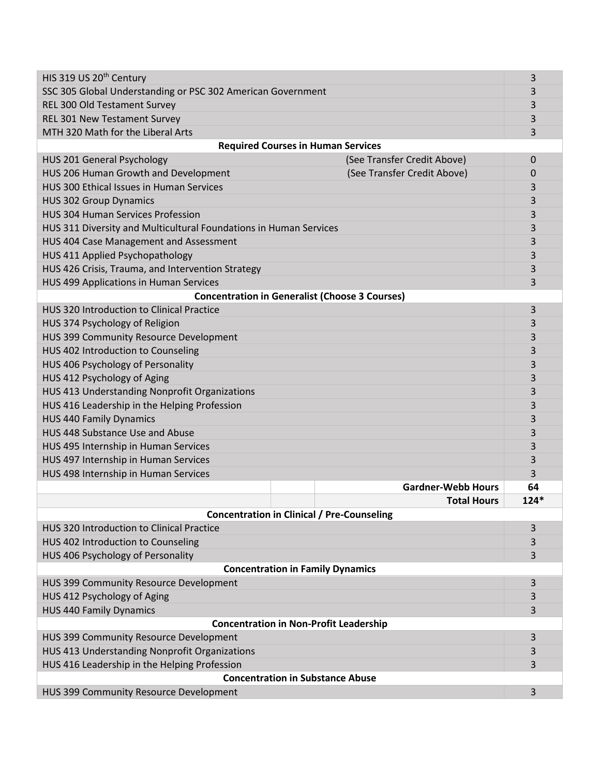| HIS 319 US 20 <sup>th</sup> Century                                 | 3                               |  |  |
|---------------------------------------------------------------------|---------------------------------|--|--|
| SSC 305 Global Understanding or PSC 302 American Government         | 3                               |  |  |
| REL 300 Old Testament Survey                                        | 3                               |  |  |
| REL 301 New Testament Survey                                        | 3                               |  |  |
| MTH 320 Math for the Liberal Arts                                   | 3                               |  |  |
| <b>Required Courses in Human Services</b>                           |                                 |  |  |
| (See Transfer Credit Above)<br><b>HUS 201 General Psychology</b>    | 0                               |  |  |
| HUS 206 Human Growth and Development<br>(See Transfer Credit Above) | $\mathbf 0$                     |  |  |
| HUS 300 Ethical Issues in Human Services                            | 3                               |  |  |
| <b>HUS 302 Group Dynamics</b>                                       | 3                               |  |  |
| <b>HUS 304 Human Services Profession</b>                            | 3                               |  |  |
| HUS 311 Diversity and Multicultural Foundations in Human Services   | 3                               |  |  |
| HUS 404 Case Management and Assessment                              | 3                               |  |  |
| HUS 411 Applied Psychopathology                                     | 3                               |  |  |
| HUS 426 Crisis, Trauma, and Intervention Strategy                   | 3                               |  |  |
| HUS 499 Applications in Human Services                              | 3                               |  |  |
| <b>Concentration in Generalist (Choose 3 Courses)</b>               |                                 |  |  |
| HUS 320 Introduction to Clinical Practice                           | 3                               |  |  |
| HUS 374 Psychology of Religion                                      | 3                               |  |  |
| HUS 399 Community Resource Development                              |                                 |  |  |
| HUS 402 Introduction to Counseling                                  |                                 |  |  |
| HUS 406 Psychology of Personality                                   |                                 |  |  |
| HUS 412 Psychology of Aging                                         |                                 |  |  |
| HUS 413 Understanding Nonprofit Organizations                       |                                 |  |  |
| HUS 416 Leadership in the Helping Profession                        |                                 |  |  |
| <b>HUS 440 Family Dynamics</b>                                      | 3                               |  |  |
| HUS 448 Substance Use and Abuse                                     | 3                               |  |  |
| HUS 495 Internship in Human Services                                | 3                               |  |  |
| HUS 497 Internship in Human Services                                | 3                               |  |  |
| HUS 498 Internship in Human Services                                | 3                               |  |  |
|                                                                     | <b>Gardner-Webb Hours</b><br>64 |  |  |
|                                                                     | <b>Total Hours</b><br>$124*$    |  |  |
| <b>Concentration in Clinical / Pre-Counseling</b>                   |                                 |  |  |
| HUS 320 Introduction to Clinical Practice                           | 3                               |  |  |
| HUS 402 Introduction to Counseling                                  | 3                               |  |  |
| HUS 406 Psychology of Personality                                   | 3                               |  |  |
| <b>Concentration in Family Dynamics</b>                             |                                 |  |  |
| HUS 399 Community Resource Development                              | 3                               |  |  |
| HUS 412 Psychology of Aging                                         | 3                               |  |  |
| <b>HUS 440 Family Dynamics</b>                                      | 3                               |  |  |
| <b>Concentration in Non-Profit Leadership</b>                       |                                 |  |  |
| HUS 399 Community Resource Development                              | 3                               |  |  |
| HUS 413 Understanding Nonprofit Organizations                       | 3                               |  |  |
| HUS 416 Leadership in the Helping Profession                        | 3                               |  |  |
| <b>Concentration in Substance Abuse</b>                             |                                 |  |  |
| HUS 399 Community Resource Development                              | 3                               |  |  |